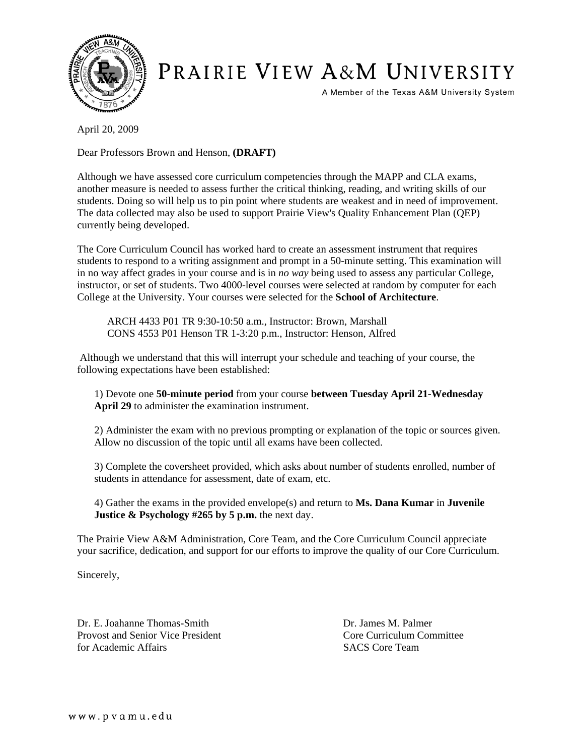

## PRAIRIE VIEW A&M UNIVERSITY

A Member of the Texas A&M University System

April 20, 2009

Dear Professors Brown and Henson, **(DRAFT)**

Although we have assessed core curriculum competencies through the MAPP and CLA exams, another measure is needed to assess further the critical thinking, reading, and writing skills of our students. Doing so will help us to pin point where students are weakest and in need of improvement. The data collected may also be used to support Prairie View's Quality Enhancement Plan (QEP) currently being developed.

The Core Curriculum Council has worked hard to create an assessment instrument that requires students to respond to a writing assignment and prompt in a 50-minute setting. This examination will in no way affect grades in your course and is in *no way* being used to assess any particular College, instructor, or set of students. Two 4000-level courses were selected at random by computer for each College at the University. Your courses were selected for the **School of Architecture**.

ARCH 4433 P01 TR 9:30-10:50 a.m., Instructor: Brown, Marshall CONS 4553 P01 Henson TR 1-3:20 p.m., Instructor: Henson, Alfred

 Although we understand that this will interrupt your schedule and teaching of your course, the following expectations have been established:

1) Devote one **50-minute period** from your course **between Tuesday April 21-Wednesday April 29** to administer the examination instrument.

2) Administer the exam with no previous prompting or explanation of the topic or sources given. Allow no discussion of the topic until all exams have been collected.

3) Complete the coversheet provided, which asks about number of students enrolled, number of students in attendance for assessment, date of exam, etc.

4) Gather the exams in the provided envelope(s) and return to **Ms. Dana Kumar** in **Juvenile Justice & Psychology #265 by 5 p.m.** the next day.

The Prairie View A&M Administration, Core Team, and the Core Curriculum Council appreciate your sacrifice, dedication, and support for our efforts to improve the quality of our Core Curriculum.

Sincerely,

Dr. E. Joahanne Thomas-Smith Dr. James M. Palmer Provost and Senior Vice President Core Curriculum Committee for Academic Affairs SACS Core Team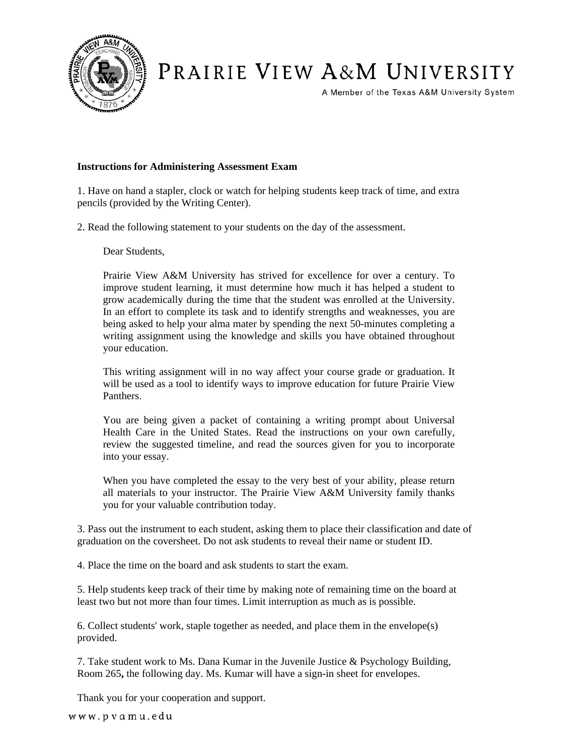

## PRAIRIE VIEW A&M UNIVERSITY

A Member of the Texas A&M University System

## **Instructions for Administering Assessment Exam**

1. Have on hand a stapler, clock or watch for helping students keep track of time, and extra pencils (provided by the Writing Center).

2. Read the following statement to your students on the day of the assessment.

Dear Students,

Prairie View A&M University has strived for excellence for over a century. To improve student learning, it must determine how much it has helped a student to grow academically during the time that the student was enrolled at the University. In an effort to complete its task and to identify strengths and weaknesses, you are being asked to help your alma mater by spending the next 50-minutes completing a writing assignment using the knowledge and skills you have obtained throughout your education.

This writing assignment will in no way affect your course grade or graduation. It will be used as a tool to identify ways to improve education for future Prairie View Panthers.

You are being given a packet of containing a writing prompt about Universal Health Care in the United States. Read the instructions on your own carefully, review the suggested timeline, and read the sources given for you to incorporate into your essay.

When you have completed the essay to the very best of your ability, please return all materials to your instructor. The Prairie View A&M University family thanks you for your valuable contribution today.

3. Pass out the instrument to each student, asking them to place their classification and date of graduation on the coversheet. Do not ask students to reveal their name or student ID.

4. Place the time on the board and ask students to start the exam.

5. Help students keep track of their time by making note of remaining time on the board at least two but not more than four times. Limit interruption as much as is possible.

6. Collect students' work, staple together as needed, and place them in the envelope(s) provided.

7. Take student work to Ms. Dana Kumar in the Juvenile Justice & Psychology Building, Room 265**,** the following day. Ms. Kumar will have a sign-in sheet for envelopes.

Thank you for your cooperation and support.